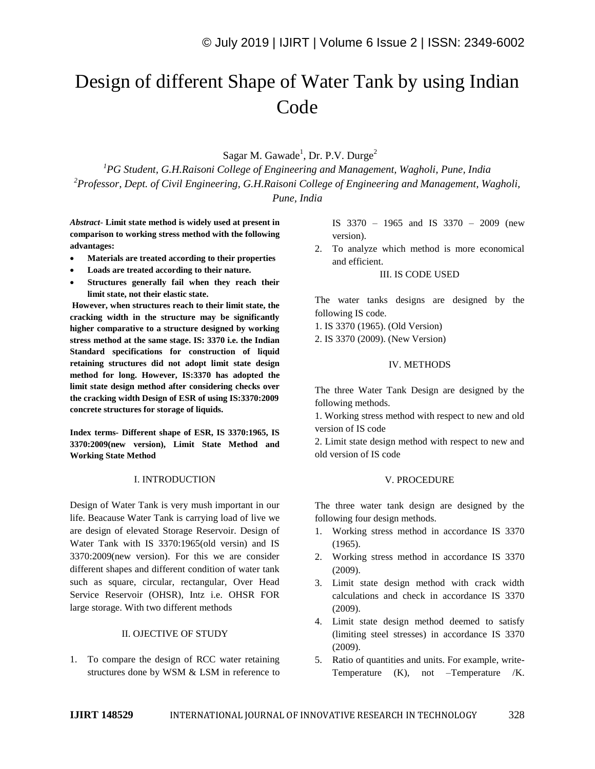# Design of different Shape of Water Tank by using Indian Code

Sagar M. Gawade<sup>1</sup>, Dr. P.V. Durge<sup>2</sup>

*<sup>1</sup>PG Student, G.H.Raisoni College of Engineering and Management, Wagholi, Pune, India <sup>2</sup>Professor, Dept. of Civil Engineering, G.H.Raisoni College of Engineering and Management, Wagholi,* 

*Pune, India*

*Abstract*- **Limit state method is widely used at present in comparison to working stress method with the following advantages:**

- **Materials are treated according to their properties**
- **Loads are treated according to their nature.**
- **Structures generally fail when they reach their limit state, not their elastic state.**

**However, when structures reach to their limit state, the cracking width in the structure may be significantly higher comparative to a structure designed by working stress method at the same stage. IS: 3370 i.e. the Indian Standard specifications for construction of liquid retaining structures did not adopt limit state design method for long. However, IS:3370 has adopted the limit state design method after considering checks over the cracking width Design of ESR of using IS:3370:2009 concrete structures for storage of liquids.** 

**Index terms- Different shape of ESR, IS 3370:1965, IS 3370:2009(new version), Limit State Method and Working State Method**

### I. INTRODUCTION

Design of Water Tank is very mush important in our life. Beacause Water Tank is carrying load of live we are design of elevated Storage Reservoir. Design of Water Tank with IS 3370:1965(old versin) and IS 3370:2009(new version). For this we are consider different shapes and different condition of water tank such as square, circular, rectangular, Over Head Service Reservoir (OHSR), Intz i.e. OHSR FOR large storage. With two different methods

#### II. OJECTIVE OF STUDY

1. To compare the design of RCC water retaining structures done by WSM & LSM in reference to IS 3370 – 1965 and IS 3370 – 2009 (new version).

2. To analyze which method is more economical and efficient.

#### III. IS CODE USED

The water tanks designs are designed by the following IS code.

1. IS 3370 (1965). (Old Version)

2. IS 3370 (2009). (New Version)

#### IV. METHODS

The three Water Tank Design are designed by the following methods.

1. Working stress method with respect to new and old version of IS code

2. Limit state design method with respect to new and old version of IS code

#### V. PROCEDURE

The three water tank design are designed by the following four design methods.

- 1. Working stress method in accordance IS 3370 (1965).
- 2. Working stress method in accordance IS 3370 (2009).
- 3. Limit state design method with crack width calculations and check in accordance IS 3370 (2009).
- 4. Limit state design method deemed to satisfy (limiting steel stresses) in accordance IS 3370 (2009).
- 5. Ratio of quantities and units. For example, write-Temperature (K), not –Temperature /K.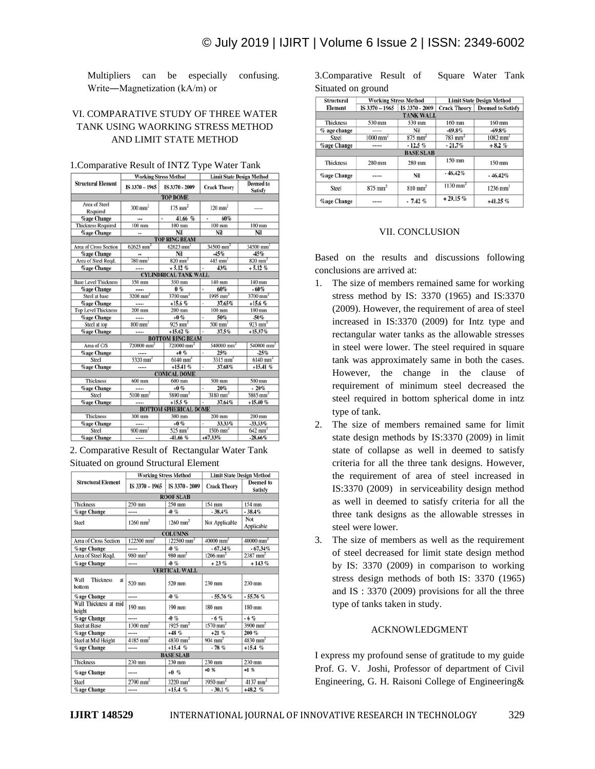Multipliers can be especially confusing. Write―Magnetization (kA/m) or

## VI. COMPARATIVE STUDY OF THREE WATER TANK USING WAORKING STRESS METHOD AND LIMIT STATE METHOD

|                             | working stress method    |                              | глин этие резіgн мешов  |                                    |
|-----------------------------|--------------------------|------------------------------|-------------------------|------------------------------------|
| <b>Structural Element</b>   | IS 3370 - 1965           | IS 3370 - 2009               | <b>Crack Theory</b>     | <b>Deemed</b> to<br><b>Satisfy</b> |
|                             |                          | <b>TOP DOME</b>              |                         |                                    |
| Area of Steel<br>Required   | $300$ mm <sup>2</sup>    | $175$ mm <sup>2</sup>        | $120$ mm <sup>2</sup>   | -----                              |
| <b><i>Cage</i></b> Change   |                          | 41.66 %<br>×.                | 60%<br>×.               |                                    |
| <b>Thickness Required</b>   | $100$ mm                 | $100$ mm                     | $100$ mm                | $100$ mm                           |
| <b>%age Change</b>          |                          | Nil                          | Nil                     | Nil                                |
|                             |                          | <b>TOP RING BEAM</b>         |                         |                                    |
| Area of Cross Section       | $62623$ mm <sup>2</sup>  | $62623$ mm <sup>2</sup>      | $34500$ mm <sup>2</sup> | $34500$ mm <sup>2</sup>            |
| <b>%age Change</b>          |                          | Nil                          | $-45%$                  | $-45%$                             |
| Area of Steel Regd.         | $780$ mm <sup>2</sup>    | $820$ mm <sup>2</sup>        | $445$ mm <sup>2</sup>   | $820$ mm <sup>2</sup>              |
| <b>%age Change</b>          |                          | $+5.12%$                     | 43%                     | $+5.12%$                           |
|                             |                          | <b>CYLINDRICAL TANK WALL</b> |                         |                                    |
| <b>Base Level Thickness</b> | 350 mm                   | 350 mm                       | 140 mm                  | 140 mm                             |
| <b><i>%age</i></b> Change   |                          | 0%                           | 60%                     | $-60%$                             |
| Steel at base               | $3200$ mm <sup>2</sup>   | $3700$ mm <sup>2</sup>       | $1995$ mm <sup>2</sup>  | $3700$ mm <sup>2</sup>             |
| <b>%age Change</b>          |                          | $+15.6%$                     | 37.65%                  | $+15.6%$                           |
| <b>Top Level Thickness</b>  | $200$ mm                 | $200$ mm                     | $100$ mm                | $100$ mm                           |
| <b>%age Change</b>          |                          | $+0%$                        | 50%<br>٠                | $-50%$                             |
| Steel at top                | $800$ mm <sup>2</sup>    | $925$ mm <sup>2</sup>        | $500$ mm <sup>2</sup>   | $923$ mm <sup>2</sup>              |
| <b>%age Change</b>          |                          | $+15.62%$                    | 37.5%                   | $+15.37%$                          |
|                             |                          | <b>BOTTOM RING BEAM</b>      |                         |                                    |
| Area of C/S                 | $720000$ mm <sup>2</sup> | $720000$ mm <sup>2</sup>     | 540000 mm <sup>2</sup>  | 540000 mm <sup>2</sup>             |
| <b>%age Change</b>          |                          | $+0%$                        | 25%                     | $-25%$                             |
| Steel                       | $5320$ mm <sup>2</sup>   | $6140$ mm <sup>2</sup>       | $3315$ mm <sup>2</sup>  | $6140$ mm <sup>2</sup>             |
| <b>%age Change</b>          |                          | $+15.41%$                    | 37.68%                  | $+15.41%$                          |
|                             |                          | <b>CONICAL DOME</b>          |                         |                                    |
| <b>Thickness</b>            | 600 mm                   | $600$ mm                     | 500 mm                  | 500 mm                             |
| <b>%age Change</b>          |                          | $+0%$                        | 20%                     | $-20%$                             |
| Steel                       | $5100$ mm <sup>2</sup>   | $5890$ mm <sup>2</sup>       | $3180$ mm <sup>2</sup>  | $5885$ mm <sup>2</sup>             |
| <b>%age Change</b>          |                          | $+15.5%$                     | 37.64%                  | $+15.40%$                          |
|                             |                          | <b>BOTTOM SPHERICAL DOME</b> |                         |                                    |
| Thickness                   | 300 mm                   | 300 mm                       | $200$ mm                | 200 mm                             |
| <b>%age Change</b>          |                          | $+0%$                        | 33.33%                  | $-33.33\%$                         |
| Steel                       | $900$ mm <sup>2</sup>    | $525$ mm <sup>2</sup>        | $1506$ mm <sup>2</sup>  | $642$ mm <sup>2</sup>              |
| <b>%age Change</b>          |                          | $-41.66%$                    | $+67.33%$               | $-28.66%$                          |

1. Comparative Result of INTZ Type Water Tank

2. Comparative Result of Rectangular Water Tank Situated on ground Structural Element

|                                          | <b>Working Stress Method</b> |                          | <b>Limit State Design Method</b> |                             |
|------------------------------------------|------------------------------|--------------------------|----------------------------------|-----------------------------|
| <b>Structural Element</b>                | IS 3370 - 1965               | IS 3370 - 2009           | <b>Crack Theory</b>              | <b>Deemed</b> to<br>Satisfy |
|                                          |                              | <b>ROOF SLAB</b>         |                                  |                             |
| <b>Thickness</b>                         | 250 mm                       | 250 mm                   | 154 mm                           | 154 mm                      |
| %age Change                              |                              | $-0%$                    | $-38.4%$                         | $-38.4%$                    |
| Steel                                    | $1260$ mm <sup>2</sup>       | $1260$ mm <sup>2</sup>   | Not Applicable                   | Not<br>Applicable           |
|                                          |                              | <b>COLUMNS</b>           |                                  |                             |
| Area of Cross Section                    | $122500$ mm <sup>2</sup>     | $122500$ mm <sup>2</sup> | $40000$ mm <sup>2</sup>          | $40000$ mm <sup>2</sup>     |
| %age Change                              |                              | $-0%$                    | $-67.34%$                        | $-67.34%$                   |
| Area of Steel Regd.                      | $980$ mm <sup>2</sup>        | $980$ mm <sup>2</sup>    | $1206$ mm <sup>2</sup>           | $2387$ mm <sup>2</sup>      |
| %age Change                              |                              | $-0%$                    | $+23%$                           | $+143%$                     |
|                                          |                              | <b>VERTICAL WALL</b>     |                                  |                             |
| Wall<br><b>Thickness</b><br>at<br>bottom | 520 mm                       | 520 mm                   | 230 mm                           | $230$ mm                    |
| %age Change                              |                              | $-0$ %                   | $-55.76%$                        | $-55.76%$                   |
| Wall Thickness at mid<br>height          | 190 mm                       | 190 mm                   | 180 mm                           | 180 mm                      |
| <b>%age Change</b>                       |                              | $-0$ %                   | $-6%$                            | $-6%$                       |
| <b>Steel at Base</b>                     | $1300$ mm <sup>2</sup>       | $1925$ mm <sup>2</sup>   | $1570$ mm <sup>2</sup>           | $3900$ mm <sup>2</sup>      |
| %age Change                              |                              | $+48%$                   | $+21%$                           | $200 \%$                    |
| Steel at Mid Height                      | $4185$ mm <sup>2</sup>       | $4830$ mm <sup>2</sup>   | $904$ mm <sup>2</sup>            | $4830$ mm <sup>2</sup>      |
| %age Change                              |                              | $+15.4%$                 | $-78%$                           | $+15.4%$                    |
|                                          |                              | <b>BASE SLAB</b>         |                                  |                             |
| <b>Thickness</b>                         | 230 mm                       | 230 mm                   | 230 mm                           | 230 mm                      |
| %age Change                              |                              | $+0$ %                   | $+0%$                            | $+0%$                       |
| Steel                                    | $2790$ mm <sup>2</sup>       | $3220$ mm <sup>2</sup>   | $1950$ mm <sup>2</sup>           | $4137$ mm <sup>2</sup>      |
| <b>%age Change</b>                       |                              | $+15.4%$                 | $-30.1%$                         | $+48.2%$                    |

3.Comparative Result of Square Water Tank Situated on ground

| <b>Structural</b><br><b>Element</b> | <b>Working Stress Method</b> |                       | <b>Limit State Design Method</b> |                                         |
|-------------------------------------|------------------------------|-----------------------|----------------------------------|-----------------------------------------|
|                                     | IS $3370 - 1965$             | IS 3370 - 2009        |                                  | <b>Crack Theory   Deemed to Satisfy</b> |
|                                     |                              | <b>TANK WALL</b>      |                                  |                                         |
| <b>Thickness</b>                    | 530 mm                       | 530 mm                | $160$ mm                         | 160 mm                                  |
| $%$ age change                      | -----                        | Nil                   | $-69.8%$                         | $-69.8%$                                |
| <b>Steel</b>                        | $1000$ mm <sup>2</sup>       | $875$ mm <sup>2</sup> | $783$ mm <sup>2</sup>            | $1082$ mm <sup>2</sup>                  |
| <b>%age Change</b>                  | -----                        | $-12.5%$              | $-21.7%$                         | $+8.2%$                                 |
|                                     |                              | <b>BASE SLAB</b>      |                                  |                                         |
| <b>Thickness</b>                    | 280 mm                       | 280 mm                | $150$ mm                         | 150 mm                                  |
| <b>%age Change</b>                  | -----                        | Nil                   | $-46.42%$                        | $-46.42%$                               |
| Steel                               | $875$ mm <sup>2</sup>        | $810$ mm <sup>2</sup> | $1130$ mm <sup>2</sup>           | $1236$ mm <sup>2</sup>                  |
| <b><i>%</i></b> age Change          | -----                        | $-7.42%$              | $+29.15%$                        | $+41.25%$                               |

#### VII. CONCLUSION

Based on the results and discussions following conclusions are arrived at:

- 1. The size of members remained same for working stress method by IS: 3370 (1965) and IS:3370 (2009). However, the requirement of area of steel increased in IS:3370 (2009) for Intz type and rectangular water tanks as the allowable stresses in steel were lower. The steel required in square tank was approximately same in both the cases. However, the change in the clause of requirement of minimum steel decreased the steel required in bottom spherical dome in intz type of tank.
- 2. The size of members remained same for limit state design methods by IS:3370 (2009) in limit state of collapse as well in deemed to satisfy criteria for all the three tank designs. However, the requirement of area of steel increased in IS:3370 (2009) in serviceability design method as well in deemed to satisfy criteria for all the three tank designs as the allowable stresses in steel were lower.
- 3. The size of members as well as the requirement of steel decreased for limit state design method by IS: 3370 (2009) in comparison to working stress design methods of both IS: 3370 (1965) and IS : 3370 (2009) provisions for all the three type of tanks taken in study.

#### ACKNOWLEDGMENT

I express my profound sense of gratitude to my guide Prof. G. V. Joshi, Professor of department of Civil Engineering, G. H. Raisoni College of Engineering&